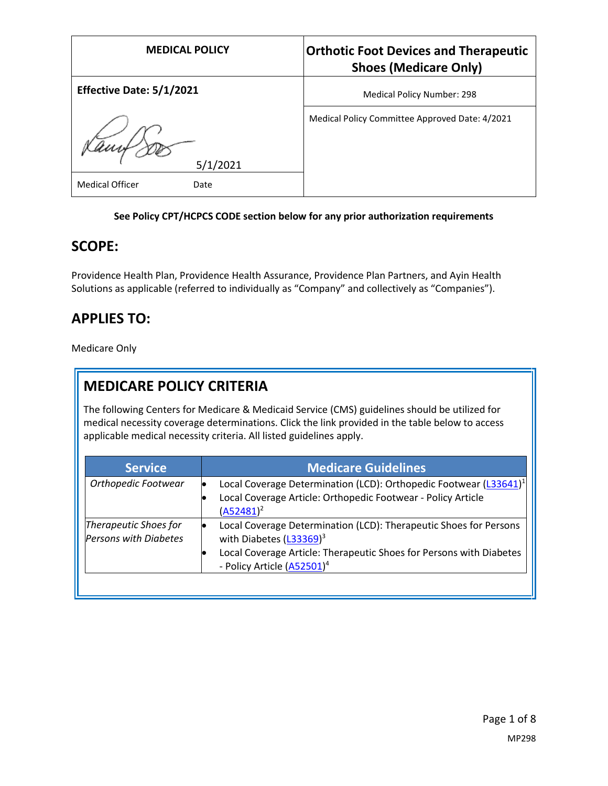| <b>MEDICAL POLICY</b>           | <b>Orthotic Foot Devices and Therapeutic</b><br><b>Shoes (Medicare Only)</b> |
|---------------------------------|------------------------------------------------------------------------------|
| <b>Effective Date: 5/1/2021</b> | <b>Medical Policy Number: 298</b>                                            |
| 5/1/2021                        | Medical Policy Committee Approved Date: 4/2021                               |
| <b>Medical Officer</b><br>Date  |                                                                              |

#### **See Policy CPT/HCPCS CODE section below for any prior authorization requirements**

#### **SCOPE:**

Providence Health Plan, Providence Health Assurance, Providence Plan Partners, and Ayin Health Solutions as applicable (referred to individually as "Company" and collectively as "Companies").

### **APPLIES TO:**

Medicare Only

## **MEDICARE POLICY CRITERIA**

The following Centers for Medicare & Medicaid Service (CMS) guidelines should be utilized for medical necessity coverage determinations. Click the link provided in the table below to access applicable medical necessity criteria. All listed guidelines apply.

| <b>Service</b>                                        | <b>Medicare Guidelines</b>                                                                                                                                                                                                |
|-------------------------------------------------------|---------------------------------------------------------------------------------------------------------------------------------------------------------------------------------------------------------------------------|
| Orthopedic Footwear                                   | Local Coverage Determination (LCD): Orthopedic Footwear (L33641) <sup>1</sup><br>$\bullet$<br>Local Coverage Article: Orthopedic Footwear - Policy Article<br>$(A52481)^2$                                                |
| Therapeutic Shoes for<br><b>Persons with Diabetes</b> | Local Coverage Determination (LCD): Therapeutic Shoes for Persons<br>with Diabetes (L33369) <sup>3</sup><br>Local Coverage Article: Therapeutic Shoes for Persons with Diabetes<br>- Policy Article (A52501) <sup>4</sup> |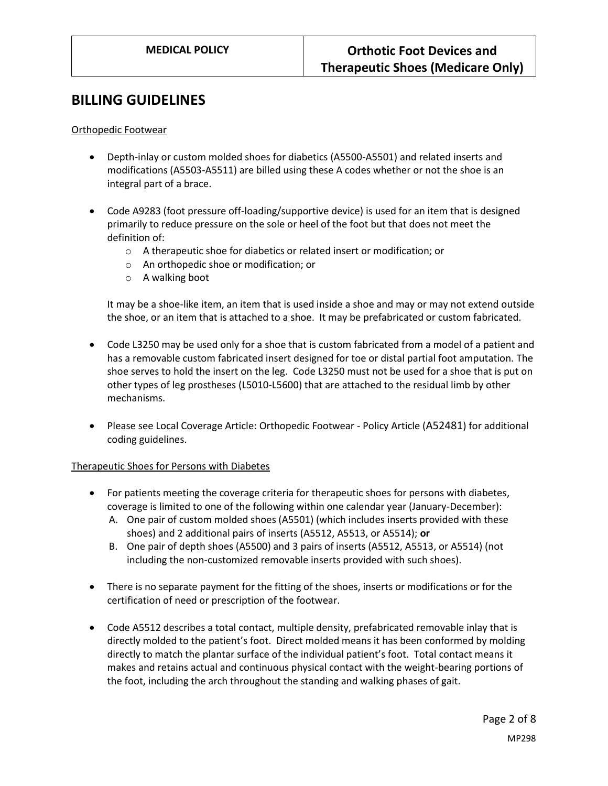#### **BILLING GUIDELINES**

Orthopedic Footwear

- Depth-inlay or custom molded shoes for diabetics (A5500-A5501) and related inserts and modifications (A5503-A5511) are billed using these A codes whether or not the shoe is an integral part of a brace.
- Code A9283 (foot pressure off-loading/supportive device) is used for an item that is designed primarily to reduce pressure on the sole or heel of the foot but that does not meet the definition of:
	- o A therapeutic shoe for diabetics or related insert or modification; or
	- o An orthopedic shoe or modification; or
	- o A walking boot

It may be a shoe-like item, an item that is used inside a shoe and may or may not extend outside the shoe, or an item that is attached to a shoe. It may be prefabricated or custom fabricated.

- Code L3250 may be used only for a shoe that is custom fabricated from a model of a patient and has a removable custom fabricated insert designed for toe or distal partial foot amputation. The shoe serves to hold the insert on the leg. Code L3250 must not be used for a shoe that is put on other types of leg prostheses (L5010-L5600) that are attached to the residual limb by other mechanisms.
- Please see Local Coverage Article: Orthopedic Footwear Policy Article (A52481) for additional coding guidelines.

Therapeutic Shoes for Persons with Diabetes

- For patients meeting the coverage criteria for therapeutic shoes for persons with diabetes, coverage is limited to one of the following within one calendar year (January-December):
	- A. One pair of custom molded shoes (A5501) (which includes inserts provided with these shoes) and 2 additional pairs of inserts (A5512, A5513, or A5514); **or**
	- B. One pair of depth shoes (A5500) and 3 pairs of inserts (A5512, A5513, or A5514) (not including the non-customized removable inserts provided with such shoes).
- There is no separate payment for the fitting of the shoes, inserts or modifications or for the certification of need or prescription of the footwear.
- Code A5512 describes a total contact, multiple density, prefabricated removable inlay that is directly molded to the patient's foot. Direct molded means it has been conformed by molding directly to match the plantar surface of the individual patient's foot. Total contact means it makes and retains actual and continuous physical contact with the weight-bearing portions of the foot, including the arch throughout the standing and walking phases of gait.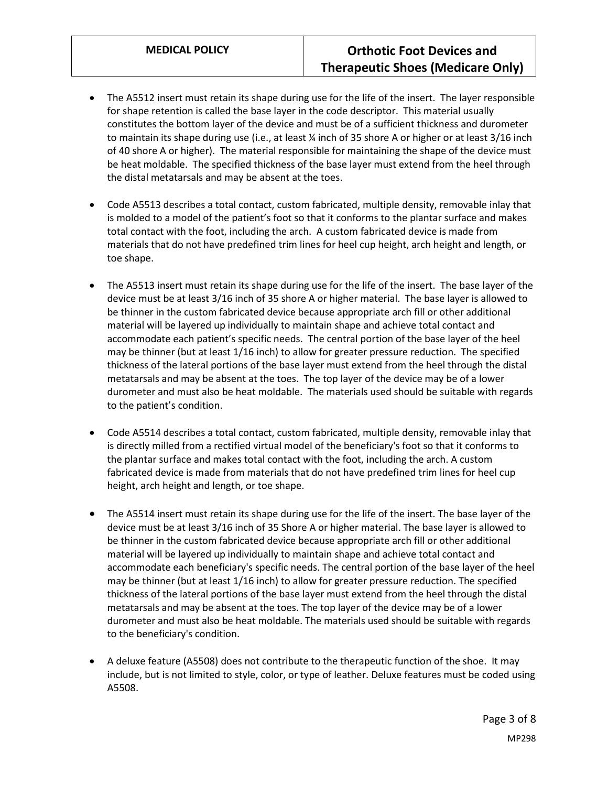- The A5512 insert must retain its shape during use for the life of the insert. The layer responsible for shape retention is called the base layer in the code descriptor. This material usually constitutes the bottom layer of the device and must be of a sufficient thickness and durometer to maintain its shape during use (i.e., at least ¼ inch of 35 shore A or higher or at least 3/16 inch of 40 shore A or higher). The material responsible for maintaining the shape of the device must be heat moldable. The specified thickness of the base layer must extend from the heel through the distal metatarsals and may be absent at the toes.
- Code A5513 describes a total contact, custom fabricated, multiple density, removable inlay that is molded to a model of the patient's foot so that it conforms to the plantar surface and makes total contact with the foot, including the arch. A custom fabricated device is made from materials that do not have predefined trim lines for heel cup height, arch height and length, or toe shape.
- The A5513 insert must retain its shape during use for the life of the insert. The base layer of the device must be at least 3/16 inch of 35 shore A or higher material. The base layer is allowed to be thinner in the custom fabricated device because appropriate arch fill or other additional material will be layered up individually to maintain shape and achieve total contact and accommodate each patient's specific needs. The central portion of the base layer of the heel may be thinner (but at least 1/16 inch) to allow for greater pressure reduction. The specified thickness of the lateral portions of the base layer must extend from the heel through the distal metatarsals and may be absent at the toes. The top layer of the device may be of a lower durometer and must also be heat moldable. The materials used should be suitable with regards to the patient's condition.
- Code A5514 describes a total contact, custom fabricated, multiple density, removable inlay that is directly milled from a rectified virtual model of the beneficiary's foot so that it conforms to the plantar surface and makes total contact with the foot, including the arch. A custom fabricated device is made from materials that do not have predefined trim lines for heel cup height, arch height and length, or toe shape.
- The A5514 insert must retain its shape during use for the life of the insert. The base layer of the device must be at least 3/16 inch of 35 Shore A or higher material. The base layer is allowed to be thinner in the custom fabricated device because appropriate arch fill or other additional material will be layered up individually to maintain shape and achieve total contact and accommodate each beneficiary's specific needs. The central portion of the base layer of the heel may be thinner (but at least 1/16 inch) to allow for greater pressure reduction. The specified thickness of the lateral portions of the base layer must extend from the heel through the distal metatarsals and may be absent at the toes. The top layer of the device may be of a lower durometer and must also be heat moldable. The materials used should be suitable with regards to the beneficiary's condition.
- A deluxe feature (A5508) does not contribute to the therapeutic function of the shoe. It may include, but is not limited to style, color, or type of leather. Deluxe features must be coded using A5508.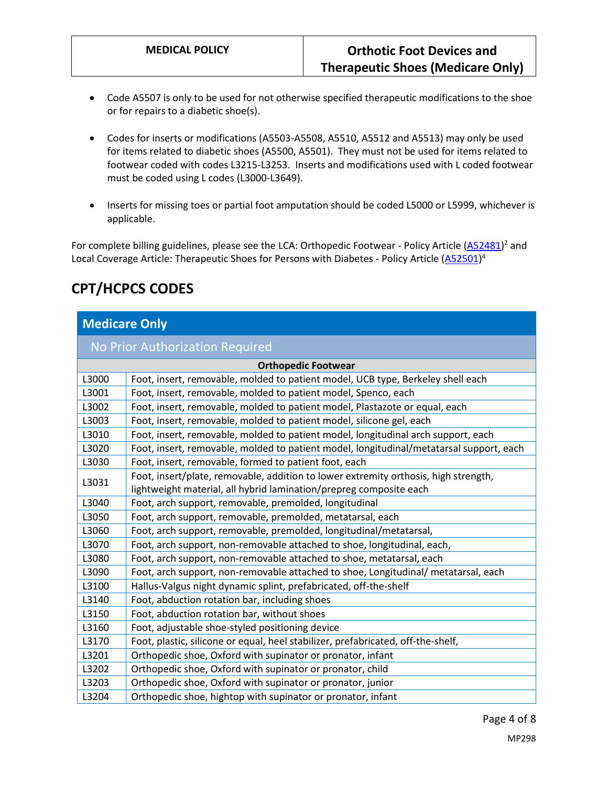- Code A5507 is only to be used for not otherwise specified therapeutic modifications to the shoe or for repairs to a diabetic shoe(s).
- Codes for inserts or modifications (A5503-A5508, A5510, A5512 and A5513) may only be used for items related to diabetic shoes (A5500, A5501). They must not be used for items related to footwear coded with codes L3215-L3253. Inserts and modifications used with L coded footwear must be coded using L codes (L3000-L3649).
- Inserts for missing toes or partial foot amputation should be coded L5000 or L5999, whichever is applicable.

For complete billing guidelines, please see the LCA: Orthopedic Footwear - Policy Article [\(A52481\)](https://www.cms.gov/medicare-coverage-database/details/article-details.aspx?articleid=52481)<sup>2</sup> and Local Coverage Article: Therapeutic Shoes for Persons with Diabetes - Policy Article [\(A52501\)](https://www.cms.gov/medicare-coverage-database/details/article-details.aspx?articleid=52501)<sup>4</sup>

## **CPT/HCPCS CODES**

### **Medicare Only**

#### No Prior Authorization Required

| <b>Orthopedic Footwear</b> |                                                                                         |
|----------------------------|-----------------------------------------------------------------------------------------|
| L3000                      | Foot, insert, removable, molded to patient model, UCB type, Berkeley shell each         |
| L3001                      | Foot, insert, removable, molded to patient model, Spenco, each                          |
| L3002                      | Foot, insert, removable, molded to patient model, Plastazote or equal, each             |
| L3003                      | Foot, insert, removable, molded to patient model, silicone gel, each                    |
| L3010                      | Foot, insert, removable, molded to patient model, longitudinal arch support, each       |
| L3020                      | Foot, insert, removable, molded to patient model, longitudinal/metatarsal support, each |
| L3030                      | Foot, insert, removable, formed to patient foot, each                                   |
| L3031                      | Foot, insert/plate, removable, addition to lower extremity orthosis, high strength,     |
|                            | lightweight material, all hybrid lamination/prepreg composite each                      |
| L3040                      | Foot, arch support, removable, premolded, longitudinal                                  |
| L3050                      | Foot, arch support, removable, premolded, metatarsal, each                              |
| L3060                      | Foot, arch support, removable, premolded, longitudinal/metatarsal,                      |
| L3070                      | Foot, arch support, non-removable attached to shoe, longitudinal, each,                 |
| L3080                      | Foot, arch support, non-removable attached to shoe, metatarsal, each                    |
| L3090                      | Foot, arch support, non-removable attached to shoe, Longitudinal/ metatarsal, each      |
| L3100                      | Hallus-Valgus night dynamic splint, prefabricated, off-the-shelf                        |
| L3140                      | Foot, abduction rotation bar, including shoes                                           |
| L3150                      | Foot, abduction rotation bar, without shoes                                             |
| L3160                      | Foot, adjustable shoe-styled positioning device                                         |
| L3170                      | Foot, plastic, silicone or equal, heel stabilizer, prefabricated, off-the-shelf,        |
| L3201                      | Orthopedic shoe, Oxford with supinator or pronator, infant                              |
| L3202                      | Orthopedic shoe, Oxford with supinator or pronator, child                               |
| L3203                      | Orthopedic shoe, Oxford with supinator or pronator, junior                              |
| L3204                      | Orthopedic shoe, hightop with supinator or pronator, infant                             |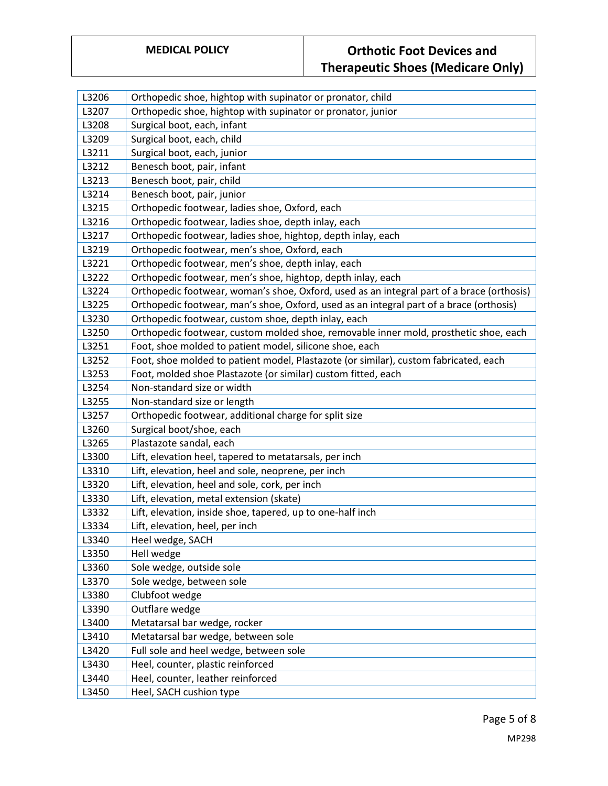| L3206 | Orthopedic shoe, hightop with supinator or pronator, child                                |
|-------|-------------------------------------------------------------------------------------------|
| L3207 | Orthopedic shoe, hightop with supinator or pronator, junior                               |
| L3208 | Surgical boot, each, infant                                                               |
| L3209 | Surgical boot, each, child                                                                |
| L3211 | Surgical boot, each, junior                                                               |
| L3212 | Benesch boot, pair, infant                                                                |
| L3213 | Benesch boot, pair, child                                                                 |
| L3214 | Benesch boot, pair, junior                                                                |
| L3215 | Orthopedic footwear, ladies shoe, Oxford, each                                            |
| L3216 | Orthopedic footwear, ladies shoe, depth inlay, each                                       |
| L3217 | Orthopedic footwear, ladies shoe, hightop, depth inlay, each                              |
| L3219 | Orthopedic footwear, men's shoe, Oxford, each                                             |
| L3221 | Orthopedic footwear, men's shoe, depth inlay, each                                        |
| L3222 | Orthopedic footwear, men's shoe, hightop, depth inlay, each                               |
| L3224 | Orthopedic footwear, woman's shoe, Oxford, used as an integral part of a brace (orthosis) |
| L3225 | Orthopedic footwear, man's shoe, Oxford, used as an integral part of a brace (orthosis)   |
| L3230 | Orthopedic footwear, custom shoe, depth inlay, each                                       |
| L3250 | Orthopedic footwear, custom molded shoe, removable inner mold, prosthetic shoe, each      |
| L3251 | Foot, shoe molded to patient model, silicone shoe, each                                   |
| L3252 | Foot, shoe molded to patient model, Plastazote (or similar), custom fabricated, each      |
| L3253 | Foot, molded shoe Plastazote (or similar) custom fitted, each                             |
| L3254 | Non-standard size or width                                                                |
| L3255 | Non-standard size or length                                                               |
| L3257 | Orthopedic footwear, additional charge for split size                                     |
| L3260 | Surgical boot/shoe, each                                                                  |
| L3265 | Plastazote sandal, each                                                                   |
| L3300 | Lift, elevation heel, tapered to metatarsals, per inch                                    |
| L3310 | Lift, elevation, heel and sole, neoprene, per inch                                        |
| L3320 | Lift, elevation, heel and sole, cork, per inch                                            |
| L3330 | Lift, elevation, metal extension (skate)                                                  |
| L3332 | Lift, elevation, inside shoe, tapered, up to one-half inch                                |
| L3334 | Lift, elevation, heel, per inch                                                           |
| L3340 | Heel wedge, SACH                                                                          |
| L3350 | Hell wedge                                                                                |
| L3360 | Sole wedge, outside sole                                                                  |
| L3370 | Sole wedge, between sole                                                                  |
| L3380 | Clubfoot wedge                                                                            |
| L3390 | Outflare wedge                                                                            |
| L3400 | Metatarsal bar wedge, rocker                                                              |
| L3410 | Metatarsal bar wedge, between sole                                                        |
| L3420 | Full sole and heel wedge, between sole                                                    |
| L3430 | Heel, counter, plastic reinforced                                                         |
| L3440 | Heel, counter, leather reinforced                                                         |
| L3450 | Heel, SACH cushion type                                                                   |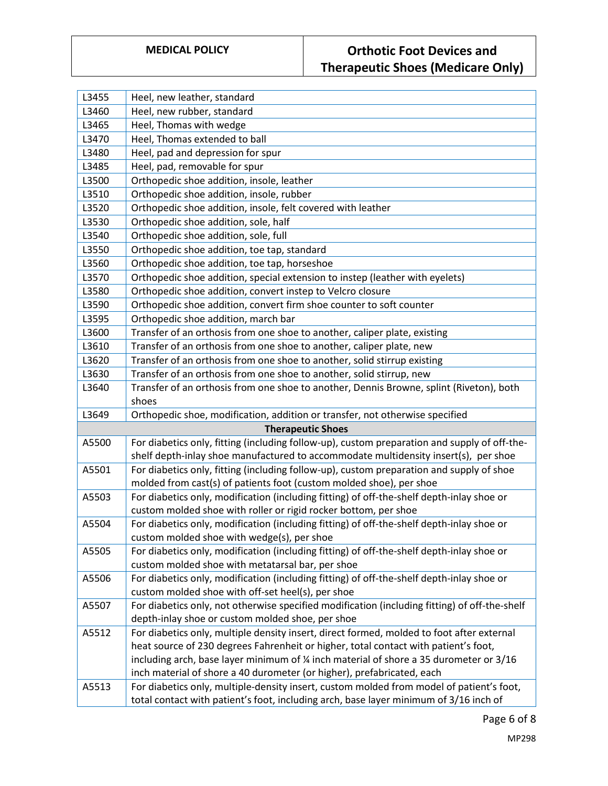| L3455 | Heel, new leather, standard                                                                                                                        |
|-------|----------------------------------------------------------------------------------------------------------------------------------------------------|
| L3460 | Heel, new rubber, standard                                                                                                                         |
| L3465 | Heel, Thomas with wedge                                                                                                                            |
| L3470 | Heel, Thomas extended to ball                                                                                                                      |
| L3480 | Heel, pad and depression for spur                                                                                                                  |
| L3485 | Heel, pad, removable for spur                                                                                                                      |
| L3500 | Orthopedic shoe addition, insole, leather                                                                                                          |
| L3510 | Orthopedic shoe addition, insole, rubber                                                                                                           |
| L3520 | Orthopedic shoe addition, insole, felt covered with leather                                                                                        |
| L3530 | Orthopedic shoe addition, sole, half                                                                                                               |
| L3540 | Orthopedic shoe addition, sole, full                                                                                                               |
| L3550 | Orthopedic shoe addition, toe tap, standard                                                                                                        |
| L3560 | Orthopedic shoe addition, toe tap, horseshoe                                                                                                       |
| L3570 | Orthopedic shoe addition, special extension to instep (leather with eyelets)                                                                       |
| L3580 | Orthopedic shoe addition, convert instep to Velcro closure                                                                                         |
| L3590 | Orthopedic shoe addition, convert firm shoe counter to soft counter                                                                                |
| L3595 | Orthopedic shoe addition, march bar                                                                                                                |
| L3600 | Transfer of an orthosis from one shoe to another, caliper plate, existing                                                                          |
| L3610 | Transfer of an orthosis from one shoe to another, caliper plate, new                                                                               |
| L3620 | Transfer of an orthosis from one shoe to another, solid stirrup existing                                                                           |
| L3630 | Transfer of an orthosis from one shoe to another, solid stirrup, new                                                                               |
| L3640 | Transfer of an orthosis from one shoe to another, Dennis Browne, splint (Riveton), both                                                            |
|       | shoes                                                                                                                                              |
| L3649 | Orthopedic shoe, modification, addition or transfer, not otherwise specified                                                                       |
|       | <b>Therapeutic Shoes</b>                                                                                                                           |
| A5500 | For diabetics only, fitting (including follow-up), custom preparation and supply of off-the-                                                       |
|       | shelf depth-inlay shoe manufactured to accommodate multidensity insert(s), per shoe                                                                |
| A5501 | For diabetics only, fitting (including follow-up), custom preparation and supply of shoe                                                           |
|       | molded from cast(s) of patients foot (custom molded shoe), per shoe                                                                                |
| A5503 | For diabetics only, modification (including fitting) of off-the-shelf depth-inlay shoe or                                                          |
|       | custom molded shoe with roller or rigid rocker bottom, per shoe                                                                                    |
| A5504 | For diabetics only, modification (including fitting) of off-the-shelf depth-inlay shoe or                                                          |
|       | custom molded shoe with wedge(s), per shoe                                                                                                         |
| A5505 | For diabetics only, modification (including fitting) of off-the-shelf depth-inlay shoe or                                                          |
|       | custom molded shoe with metatarsal bar, per shoe                                                                                                   |
| A5506 | For diabetics only, modification (including fitting) of off-the-shelf depth-inlay shoe or                                                          |
| A5507 | custom molded shoe with off-set heel(s), per shoe<br>For diabetics only, not otherwise specified modification (including fitting) of off-the-shelf |
|       | depth-inlay shoe or custom molded shoe, per shoe                                                                                                   |
| A5512 | For diabetics only, multiple density insert, direct formed, molded to foot after external                                                          |
|       | heat source of 230 degrees Fahrenheit or higher, total contact with patient's foot,                                                                |
|       | including arch, base layer minimum of % inch material of shore a 35 durometer or 3/16                                                              |
|       | inch material of shore a 40 durometer (or higher), prefabricated, each                                                                             |
| A5513 | For diabetics only, multiple-density insert, custom molded from model of patient's foot,                                                           |
|       | total contact with patient's foot, including arch, base layer minimum of 3/16 inch of                                                              |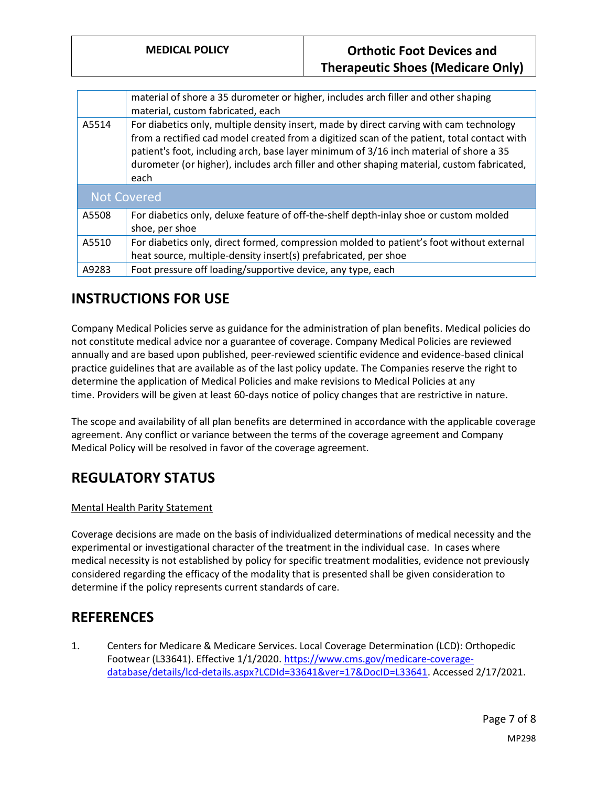|                    | material of shore a 35 durometer or higher, includes arch filler and other shaping<br>material, custom fabricated, each                                                                                                                                                                                                                                                                |
|--------------------|----------------------------------------------------------------------------------------------------------------------------------------------------------------------------------------------------------------------------------------------------------------------------------------------------------------------------------------------------------------------------------------|
| A5514              | For diabetics only, multiple density insert, made by direct carving with cam technology<br>from a rectified cad model created from a digitized scan of the patient, total contact with<br>patient's foot, including arch, base layer minimum of 3/16 inch material of shore a 35<br>durometer (or higher), includes arch filler and other shaping material, custom fabricated,<br>each |
| <b>Not Covered</b> |                                                                                                                                                                                                                                                                                                                                                                                        |
| A5508              | For diabetics only, deluxe feature of off-the-shelf depth-inlay shoe or custom molded<br>shoe, per shoe                                                                                                                                                                                                                                                                                |
| A5510              | For diabetics only, direct formed, compression molded to patient's foot without external<br>heat source, multiple-density insert(s) prefabricated, per shoe                                                                                                                                                                                                                            |
| A9283              | Foot pressure off loading/supportive device, any type, each                                                                                                                                                                                                                                                                                                                            |

## **INSTRUCTIONS FOR USE**

Company Medical Policies serve as guidance for the administration of plan benefits. Medical policies do not constitute medical advice nor a guarantee of coverage. Company Medical Policies are reviewed annually and are based upon published, peer-reviewed scientific evidence and evidence-based clinical practice guidelines that are available as of the last policy update. The Companies reserve the right to determine the application of Medical Policies and make revisions to Medical Policies at any time. Providers will be given at least 60-days notice of policy changes that are restrictive in nature.

The scope and availability of all plan benefits are determined in accordance with the applicable coverage agreement. Any conflict or variance between the terms of the coverage agreement and Company Medical Policy will be resolved in favor of the coverage agreement.

# **REGULATORY STATUS**

#### Mental Health Parity Statement

Coverage decisions are made on the basis of individualized determinations of medical necessity and the experimental or investigational character of the treatment in the individual case. In cases where medical necessity is not established by policy for specific treatment modalities, evidence not previously considered regarding the efficacy of the modality that is presented shall be given consideration to determine if the policy represents current standards of care.

## **REFERENCES**

1. Centers for Medicare & Medicare Services. Local Coverage Determination (LCD): Orthopedic Footwear (L33641). Effective 1/1/2020. [https://www.cms.gov/medicare-coverage](https://www.cms.gov/medicare-coverage-database/details/lcd-details.aspx?LCDId=33641&ver=17&DocID=L33641)[database/details/lcd-details.aspx?LCDId=33641&ver=17&DocID=L33641.](https://www.cms.gov/medicare-coverage-database/details/lcd-details.aspx?LCDId=33641&ver=17&DocID=L33641) Accessed 2/17/2021.